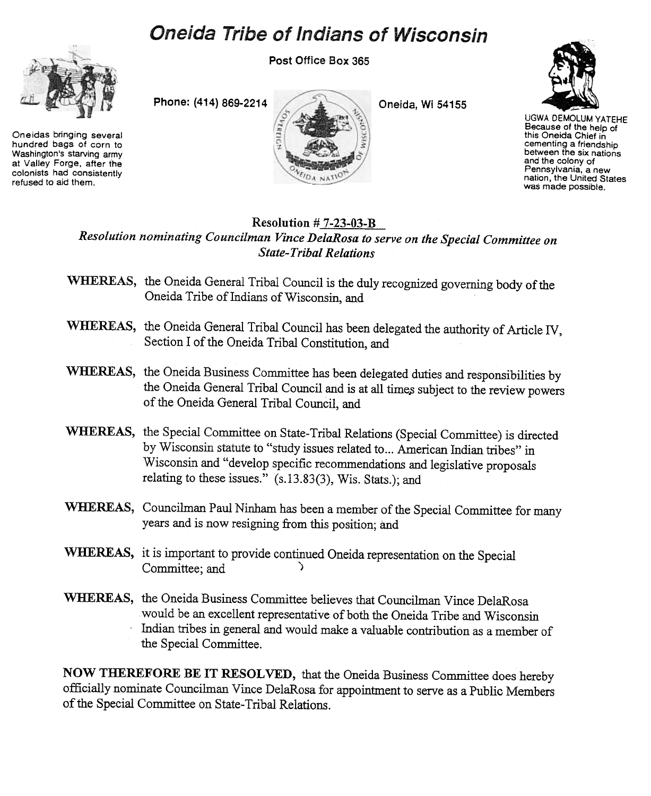## **Oneida Tribe of Indians of Wisconsin**



Oneidas bringing several hundred bags of corn to Washington's starving army at Valley Forge, after the colonists had consisteritly refused to aid them.

Post Office Box 365





UGWA DEMOLUM YATEHE Because of the help of this Oneida Chief in cementing a friendship between the six nations and the colony of Pennsylvania, a new nation, the United States was made possible.

## Resolution  $# 7-23-03-B$ Resolution nominating Councilman Vince DelaRosa to serve on the Special Committee on State- Tribal Relations

- WHEREAS, the Oneida General Tribal Council is the duly recognized governing body of the Oneida Tribe of Indians of Wisconsin, and
- WHEREAS, the Oneida General Tribal Council has been delegated the authority of Article IV, Section I of the Oneida Tribal Constitution, and
- WHEREAS, the Oneida Business Committee has been delegated duties and responsibilities by the Oneida General Tribal Council and is at all times subject to the review powers of the Oneida General Tribal Council, and
- WHEREAS, the Special Committee on State-Tribal Relations (Special Committee) is directed by Wisconsin statute to "study issues related to... American Indian tribes" in Wisconsin and "develop specific recommendations and legislative proposals relating to these issues." (s.13.83(3), Wis. Stats.); and
- WHEREAS, Councilman Paul Ninham has been a member of the Special Committee for many years and is now resigning from this position; and
- WHEREAS, it is important to provide continued Oneida representation on the Special Committee; and
- WHEREAS, the Oneida Business Committee believes that Councilman Vince DelaRosa would be an excellent representative of both the Oneida Tribe and Wisconsin .Indian tribes in general and would make a valuable contribution as a member of the Special Committee.

NOW THEREFORE BE IT RESOLVED, that the Oneida Business Committee does hereby officially nominate Councilman Vince DelaRosa for appointment to serve as a Public Members of the Special Committee on State-Tribal Relations.